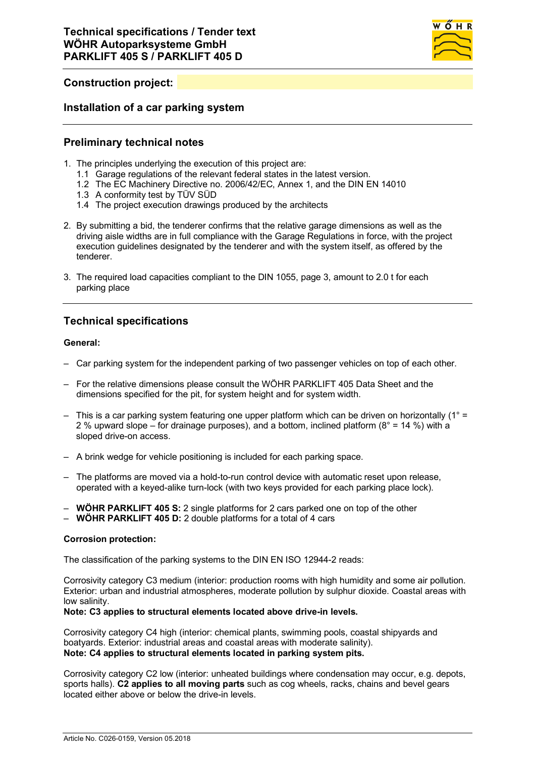

# **Construction project:**

### **Installation of a car parking system**

## **Preliminary technical notes**

- 1. The principles underlying the execution of this project are:
	- 1.1 Garage regulations of the relevant federal states in the latest version.
	- 1.2 The EC Machinery Directive no. 2006/42/EC, Annex 1, and the DIN EN 14010
	- 1.3 A conformity test by TÜV SÜD
	- 1.4 The project execution drawings produced by the architects
- 2. By submitting a bid, the tenderer confirms that the relative garage dimensions as well as the driving aisle widths are in full compliance with the Garage Regulations in force, with the project execution guidelines designated by the tenderer and with the system itself, as offered by the tenderer.
- 3. The required load capacities compliant to the DIN 1055, page 3, amount to 2.0 t for each parking place

# **Technical specifications**

### **General:**

- Car parking system for the independent parking of two passenger vehicles on top of each other.
- For the relative dimensions please consult the WÖHR PARKLIFT 405 Data Sheet and the dimensions specified for the pit, for system height and for system width.
- $-$  This is a car parking system featuring one upper platform which can be driven on horizontally (1° = 2 % upward slope – for drainage purposes), and a bottom, inclined platform  $(8^{\circ} = 14 \%)$  with a sloped drive-on access.
- A brink wedge for vehicle positioning is included for each parking space.
- The platforms are moved via a hold-to-run control device with automatic reset upon release, operated with a keyed-alike turn-lock (with two keys provided for each parking place lock).
- **WÖHR PARKLIFT 405 S:** 2 single platforms for 2 cars parked one on top of the other
- **WÖHR PARKLIFT 405 D:** 2 double platforms for a total of 4 cars

### **Corrosion protection:**

The classification of the parking systems to the DIN EN ISO 12944-2 reads:

Corrosivity category C3 medium (interior: production rooms with high humidity and some air pollution. Exterior: urban and industrial atmospheres, moderate pollution by sulphur dioxide. Coastal areas with low salinity.

### **Note: C3 applies to structural elements located above drive-in levels.**

Corrosivity category C4 high (interior: chemical plants, swimming pools, coastal shipyards and boatyards. Exterior: industrial areas and coastal areas with moderate salinity). **Note: C4 applies to structural elements located in parking system pits.**

Corrosivity category C2 low (interior: unheated buildings where condensation may occur, e.g. depots, sports halls). **C2 applies to all moving parts** such as cog wheels, racks, chains and bevel gears located either above or below the drive-in levels.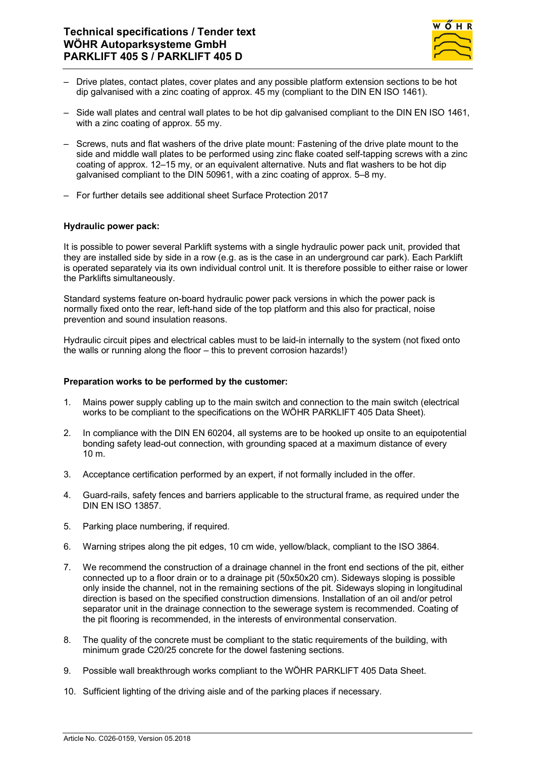

- Drive plates, contact plates, cover plates and any possible platform extension sections to be hot dip galvanised with a zinc coating of approx. 45 my (compliant to the DIN EN ISO 1461).
- Side wall plates and central wall plates to be hot dip galvanised compliant to the DIN EN ISO 1461, with a zinc coating of approx. 55 my.
- Screws, nuts and flat washers of the drive plate mount: Fastening of the drive plate mount to the side and middle wall plates to be performed using zinc flake coated self-tapping screws with a zinc coating of approx. 12–15 my, or an equivalent alternative. Nuts and flat washers to be hot dip galvanised compliant to the DIN 50961, with a zinc coating of approx. 5–8 my.
- For further details see additional sheet Surface Protection 2017

### **Hydraulic power pack:**

It is possible to power several Parklift systems with a single hydraulic power pack unit, provided that they are installed side by side in a row (e.g. as is the case in an underground car park). Each Parklift is operated separately via its own individual control unit. It is therefore possible to either raise or lower the Parklifts simultaneously.

Standard systems feature on-board hydraulic power pack versions in which the power pack is normally fixed onto the rear, left-hand side of the top platform and this also for practical, noise prevention and sound insulation reasons.

Hydraulic circuit pipes and electrical cables must to be laid-in internally to the system (not fixed onto the walls or running along the floor – this to prevent corrosion hazards!)

### **Preparation works to be performed by the customer:**

- 1. Mains power supply cabling up to the main switch and connection to the main switch (electrical works to be compliant to the specifications on the WÖHR PARKLIFT 405 Data Sheet).
- 2. In compliance with the DIN EN 60204, all systems are to be hooked up onsite to an equipotential bonding safety lead-out connection, with grounding spaced at a maximum distance of every 10 m.
- 3. Acceptance certification performed by an expert, if not formally included in the offer.
- 4. Guard-rails, safety fences and barriers applicable to the structural frame, as required under the DIN EN ISO 13857.
- 5. Parking place numbering, if required.
- 6. Warning stripes along the pit edges, 10 cm wide, yellow/black, compliant to the ISO 3864.
- 7. We recommend the construction of a drainage channel in the front end sections of the pit, either connected up to a floor drain or to a drainage pit (50x50x20 cm). Sideways sloping is possible only inside the channel, not in the remaining sections of the pit. Sideways sloping in longitudinal direction is based on the specified construction dimensions. Installation of an oil and/or petrol separator unit in the drainage connection to the sewerage system is recommended. Coating of the pit flooring is recommended, in the interests of environmental conservation.
- 8. The quality of the concrete must be compliant to the static requirements of the building, with minimum grade C20/25 concrete for the dowel fastening sections.
- 9. Possible wall breakthrough works compliant to the WÖHR PARKLIFT 405 Data Sheet.
- 10. Sufficient lighting of the driving aisle and of the parking places if necessary.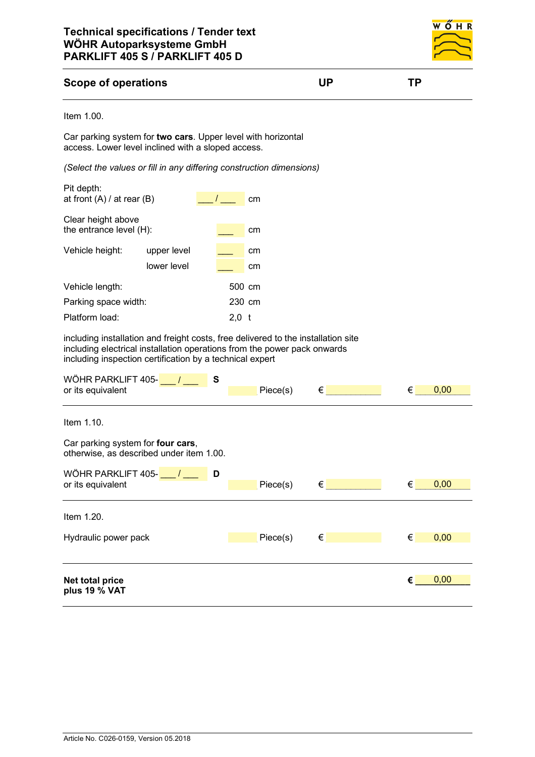

## **Scope of operations UP TP**

#### Item 1.00.

Car parking system for **two cars**. Upper level with horizontal access. Lower level inclined with a sloped access.

*(Select the values or fill in any differing construction dimensions)*

| Pit depth:<br>at front $(A)$ / at rear $(B)$  |                            |        | cm       |  |
|-----------------------------------------------|----------------------------|--------|----------|--|
| Clear height above<br>the entrance level (H): |                            |        | cm       |  |
| Vehicle height:                               | upper level<br>lower level |        | cm<br>cm |  |
| Vehicle length:                               |                            | 500 cm |          |  |
| Parking space width:                          |                            | 230 cm |          |  |
| Platform load:                                |                            | 2,0    | t        |  |

including installation and freight costs, free delivered to the installation site including electrical installation operations from the power pack onwards including inspection certification by a technical expert

| WÖHR PARKLIFT 405-<br>∣ S<br>or its equivalent                                | Piece(s) | $\epsilon$ | € | 0,00 |
|-------------------------------------------------------------------------------|----------|------------|---|------|
| Item 1.10.                                                                    |          |            |   |      |
| Car parking system for four cars,<br>otherwise, as described under item 1.00. |          |            |   |      |
| WÖHR PARKLIFT 405- <b>___/____ID</b><br>or its equivalent                     | Piece(s) | $\epsilon$ | € | 0,00 |
| Item 1.20.                                                                    |          |            |   |      |
| Hydraulic power pack                                                          | Piece(s) | €          | € | 0,00 |
| Net total price<br>plus 19 % VAT                                              |          |            | € | 0,00 |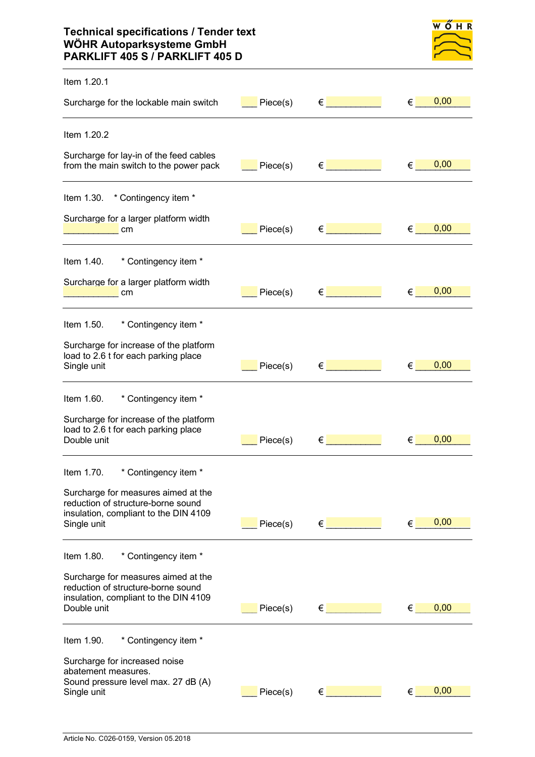# **Technical specifications / Tender text WÖHR Autoparksysteme GmbH PARKLIFT 405 S / PARKLIFT 405 D**

| ч | H. | ĸ |
|---|----|---|
|   |    |   |
|   |    |   |
|   |    |   |

| Item 1.20.1                                                                                                                                                             |          |                                      |                           |      |
|-------------------------------------------------------------------------------------------------------------------------------------------------------------------------|----------|--------------------------------------|---------------------------|------|
| Surcharge for the lockable main switch                                                                                                                                  | Piece(s) | $\epsilon$ and the set of $\epsilon$ | $\epsilon$ and $\epsilon$ | 0,00 |
| Item 1.20.2                                                                                                                                                             |          |                                      |                           |      |
| Surcharge for lay-in of the feed cables<br>from the main switch to the power pack                                                                                       | Piece(s) | $\epsilon$ and the set of $\epsilon$ | €                         | 0,00 |
| Item 1.30. * Contingency item *                                                                                                                                         |          |                                      |                           |      |
| Surcharge for a larger platform width<br>cm                                                                                                                             | Piece(s) | $\epsilon$ . The set of $\epsilon$   | €                         | 0,00 |
| * Contingency item *<br>Item 1.40.                                                                                                                                      |          |                                      |                           |      |
| Surcharge for a larger platform width<br>cm                                                                                                                             | Piece(s) | $\epsilon$ and the set of $\epsilon$ | €                         | 0,00 |
| * Contingency item *<br>Item 1.50.                                                                                                                                      |          |                                      |                           |      |
| Surcharge for increase of the platform<br>load to 2.6 t for each parking place<br>Single unit                                                                           | Piece(s) | $\epsilon$                           | €                         | 0,00 |
| * Contingency item *<br>Item 1.60.                                                                                                                                      |          |                                      |                           |      |
| Surcharge for increase of the platform<br>load to 2.6 t for each parking place<br>Double unit                                                                           | Piece(s) | €                                    | €                         | 0,00 |
| Item 1.70.<br>* Contingency item *                                                                                                                                      |          |                                      |                           |      |
| Surcharge for measures aimed at the<br>reduction of structure-borne sound<br>insulation, compliant to the DIN 4109<br>Single unit                                       | Piece(s) | $\epsilon$ and $\epsilon$            | €                         | 0,00 |
|                                                                                                                                                                         |          |                                      |                           |      |
| * Contingency item *<br>Item 1.80.<br>Surcharge for measures aimed at the<br>reduction of structure-borne sound<br>insulation, compliant to the DIN 4109<br>Double unit | Piece(s) | $\epsilon$ and the set of $\epsilon$ | €                         | 0,00 |
| Item 1.90.<br>* Contingency item *                                                                                                                                      |          |                                      |                           |      |
| Surcharge for increased noise<br>abatement measures.<br>Sound pressure level max. 27 dB (A)<br>Single unit                                                              | Piece(s) | $\epsilon$ –                         | $\epsilon$                | 0,00 |